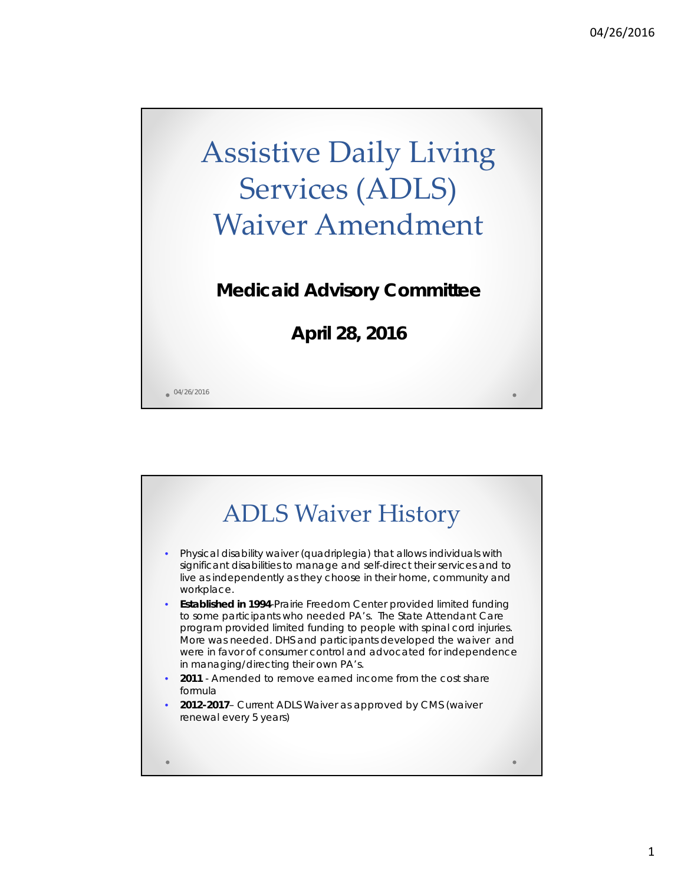# Assistive Daily Living Services (ADLS) Waiver Amendment

#### **Medicaid Advisory Committee**

**April 28, 2016**

 $04/26/2016$ 

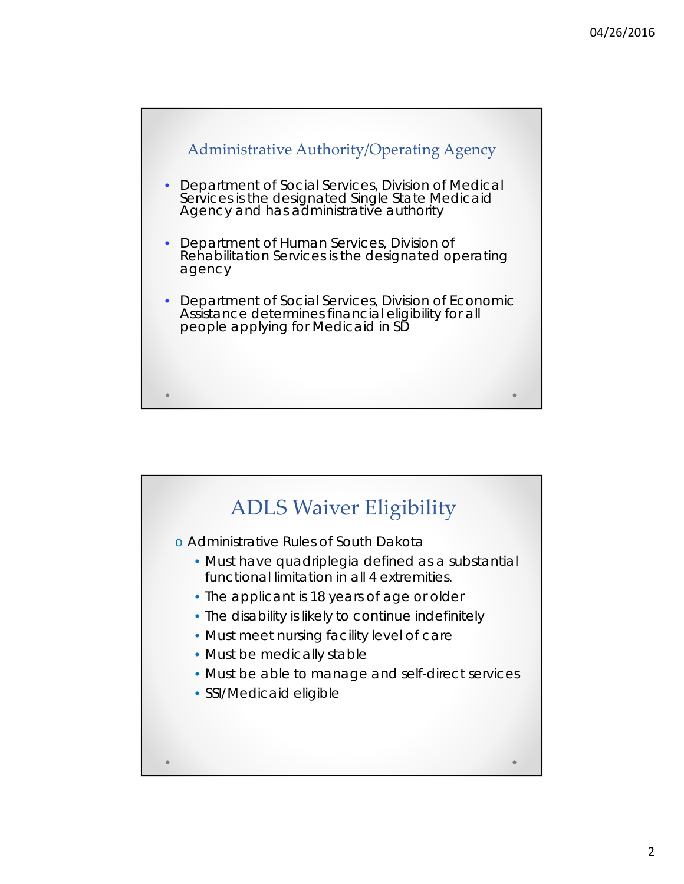

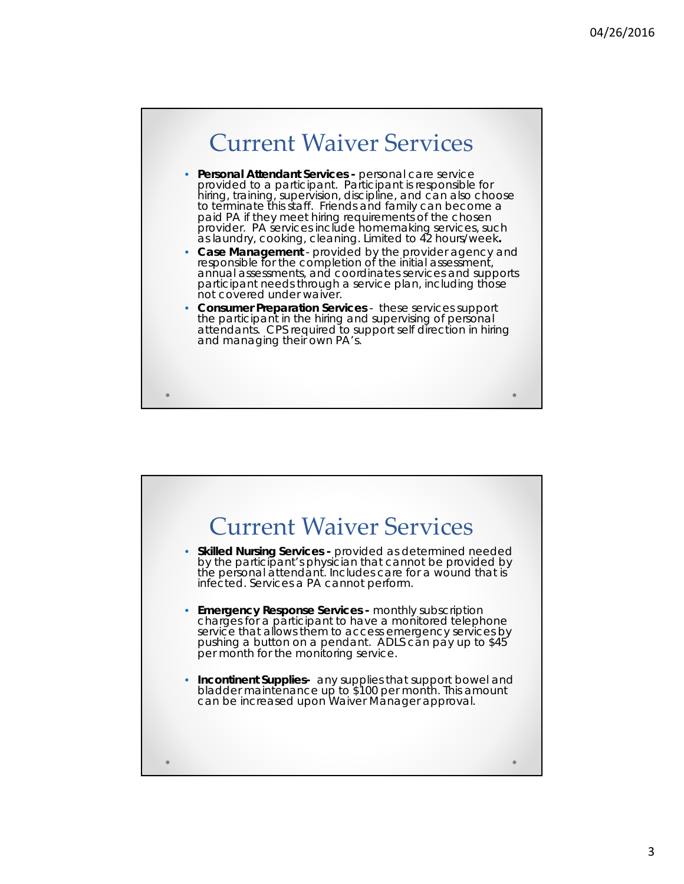

- **Personal Attendant Services -** personal care service provided to a participant. Participant is responsible for hiring, training, supervision, discipline, and can also choose to terminate this staff. Friends and family can become a paid PA if they meet hiring requirements of the chosen provider. PA services include homemaking services, such as laundry, cooking, cleaning. Limited to 42 hours/week**.**
- **Case Management**  provided by the provider agency and responsible for the completion of the initial assessment, annual assessments, and coordinates services and supports participant needs through a service plan, including those not covered under waiver.
- **Consumer Preparation Services**  these services support the participant in the hiring and supervising of personal attendants. CPS required to support self direction in hiring and managing their own PA's.

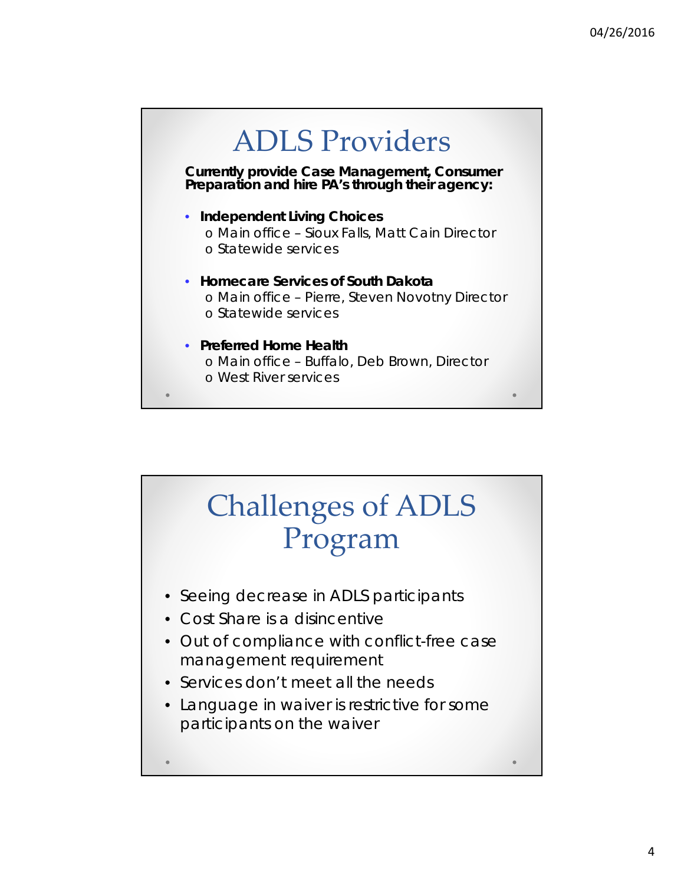

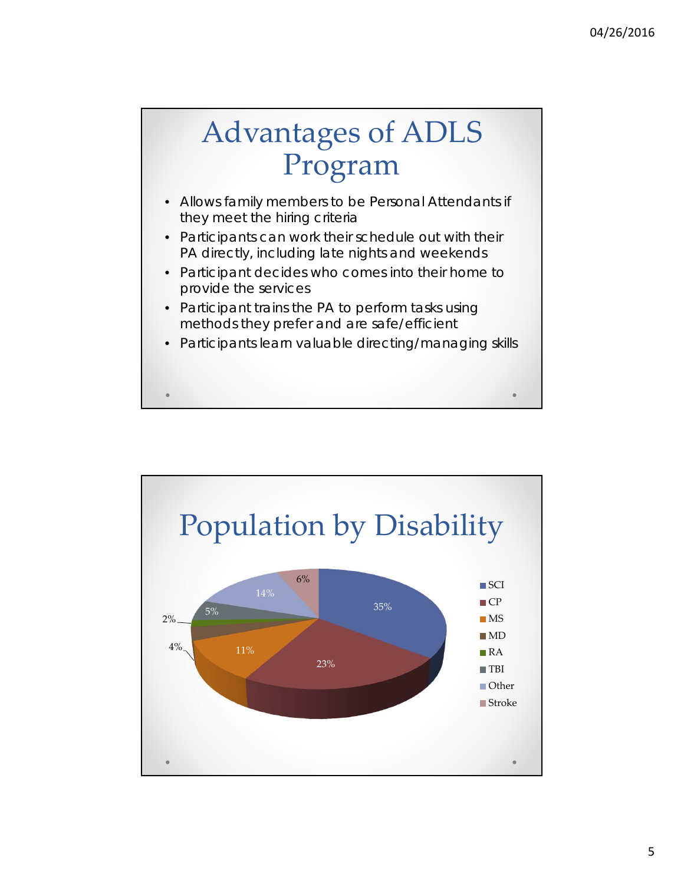## Advantages of ADLS Program

- Allows family members to be Personal Attendants if they meet the hiring criteria
- Participants can work their schedule out with their PA directly, including late nights and weekends
- Participant decides who comes into their home to provide the services
- Participant trains the PA to perform tasks using methods they prefer and are safe/efficient
- Participants learn valuable directing/managing skills

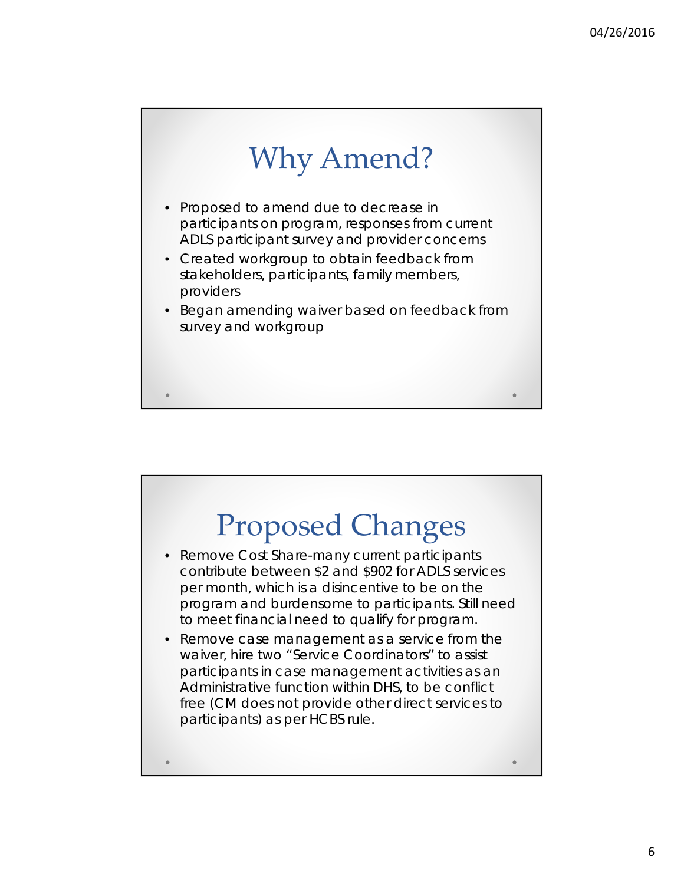

- Proposed to amend due to decrease in participants on program, responses from current ADLS participant survey and provider concerns
- Created workgroup to obtain feedback from stakeholders, participants, family members, providers
- Began amending waiver based on feedback from survey and workgroup

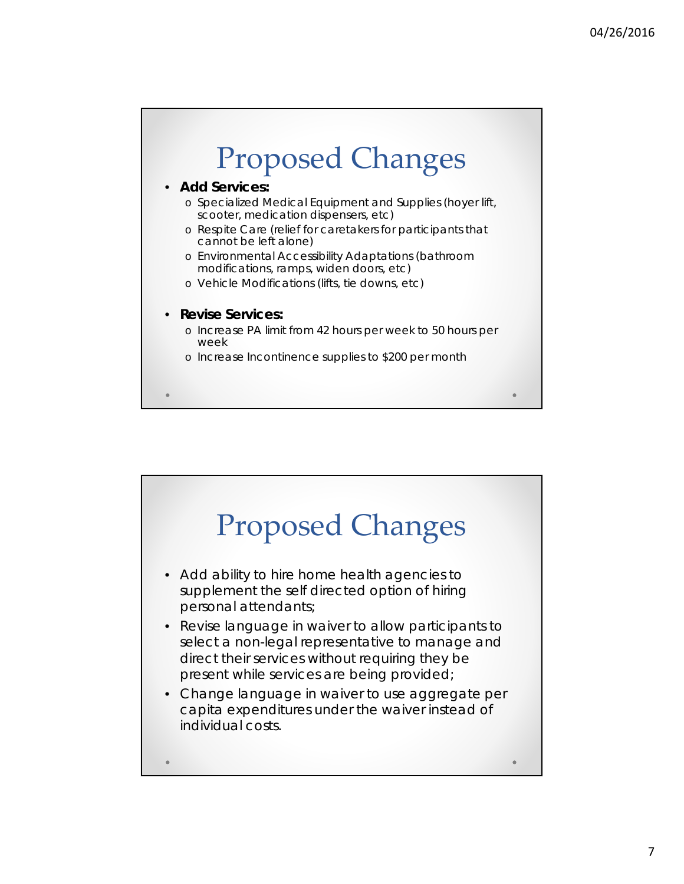

• **Add Services:**

- o Specialized Medical Equipment and Supplies (hoyer lift, scooter, medication dispensers, etc)
- o Respite Care (relief for caretakers for participants that cannot be left alone)
- o Environmental Accessibility Adaptations (bathroom modifications, ramps, widen doors, etc)
- o Vehicle Modifications (lifts, tie downs, etc)

#### • **Revise Services:**

- o Increase PA limit from 42 hours per week to 50 hours per week
- o Increase Incontinence supplies to \$200 per month